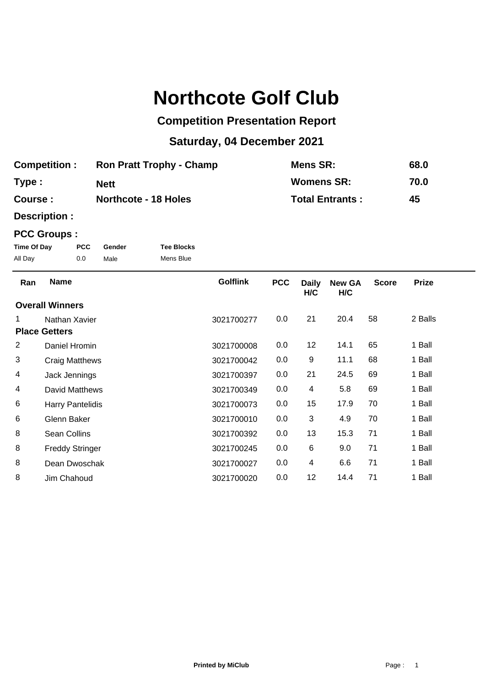# **Northcote Golf Club**

## **Competition Presentation Report**

## **Saturday, 04 December 2021**

| <b>Competition:</b> | <b>Ron Pratt Trophy - Champ</b> | Mens SR:               | 68.0 |
|---------------------|---------------------------------|------------------------|------|
| Type:               | <b>Nett</b>                     | <b>Womens SR:</b>      | 70.0 |
| Course:             | <b>Northcote - 18 Holes</b>     | <b>Total Entrants:</b> | 45   |

**Description :**

### **PCC Groups :**

| Time Of Day | <b>PCC</b> | Gender | <b>Tee Blocks</b> |
|-------------|------------|--------|-------------------|
| All Day     | 0.0        | Male   | Mens Blue         |

| Ran                  | <b>Name</b>             | <b>Golflink</b> | <b>PCC</b> | <b>Daily</b><br>H/C | <b>New GA</b><br>H/C | <b>Score</b> | <b>Prize</b> |  |
|----------------------|-------------------------|-----------------|------------|---------------------|----------------------|--------------|--------------|--|
|                      | <b>Overall Winners</b>  |                 |            |                     |                      |              |              |  |
| 1.                   | Nathan Xavier           | 3021700277      | 0.0        | 21                  | 20.4                 | 58           | 2 Balls      |  |
| <b>Place Getters</b> |                         |                 |            |                     |                      |              |              |  |
| 2                    | Daniel Hromin           | 3021700008      | 0.0        | 12                  | 14.1                 | 65           | 1 Ball       |  |
| 3                    | Craig Matthews          | 3021700042      | 0.0        | 9                   | 11.1                 | 68           | 1 Ball       |  |
| 4                    | Jack Jennings           | 3021700397      | 0.0        | 21                  | 24.5                 | 69           | 1 Ball       |  |
| 4                    | David Matthews          | 3021700349      | 0.0        | 4                   | 5.8                  | 69           | 1 Ball       |  |
| 6                    | <b>Harry Pantelidis</b> | 3021700073      | 0.0        | 15                  | 17.9                 | 70           | 1 Ball       |  |
| 6                    | Glenn Baker             | 3021700010      | 0.0        | 3                   | 4.9                  | 70           | 1 Ball       |  |
| 8                    | Sean Collins            | 3021700392      | 0.0        | 13                  | 15.3                 | 71           | 1 Ball       |  |
| 8                    | <b>Freddy Stringer</b>  | 3021700245      | 0.0        | 6                   | 9.0                  | 71           | 1 Ball       |  |
| 8                    | Dean Dwoschak           | 3021700027      | 0.0        | 4                   | 6.6                  | 71           | 1 Ball       |  |
| 8                    | Jim Chahoud             | 3021700020      | 0.0        | 12                  | 14.4                 | 71           | 1 Ball       |  |